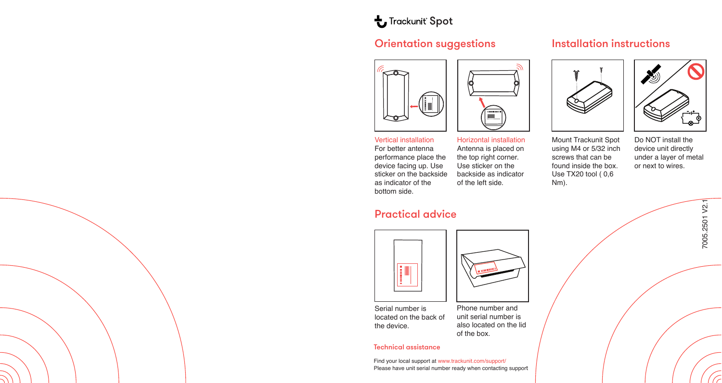# **L** Trackunit Spot

## Orientation suggestions



### Horizontal installation Antenna is placed on the top right corner. Use sticker on the backside as indicator of the left side. Vertical installation For better antenna performance place the device facing up. Use sticker on the backside as indicator of the bottom side.

## Practical advice



Serial number is located on the back of the device.

Phone number and unit serial number is also located on the lid of the box.

### Technical assistance

Find your local support at www.trackunit.com/support/ Please have unit serial number ready when contacting support

## Installation instructions





Mount Trackunit Spot using M4 or 5/32 inch screws that can be found inside the box. Use TX20 tool ( 0,6 Nm).

Do NOT install the device unit directly under a layer of metal or next to wires.

> 7005.2501 V2.1 7005.2501 V2.1